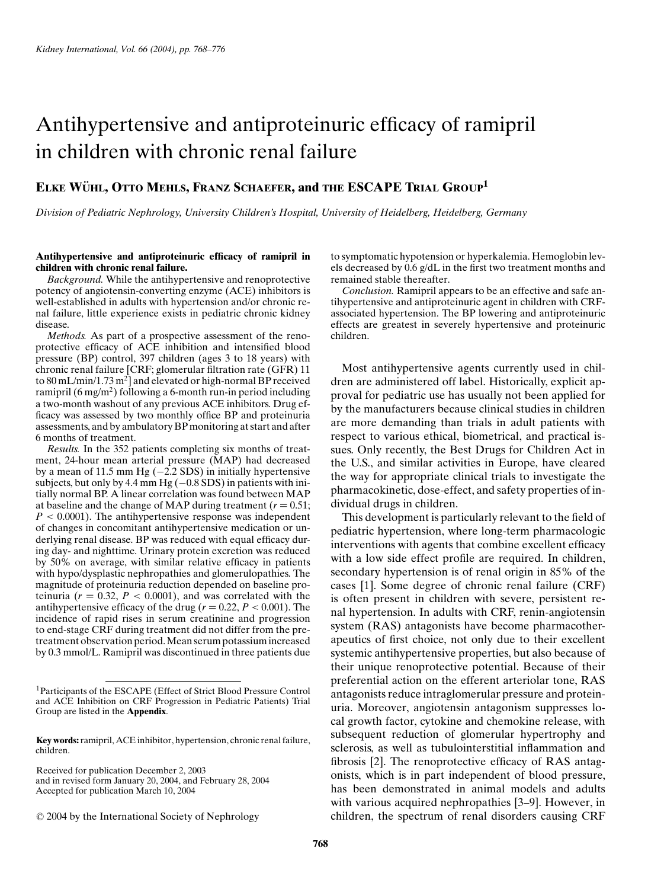# Antihypertensive and antiproteinuric efficacy of ramipril in children with chronic renal failure

## **ELKE WUHL ¨ , OTTO MEHLS, FRANZ SCHAEFER, and THE ESCAPE TRIAL GROUP<sup>1</sup>**

*Division of Pediatric Nephrology, University Children's Hospital, University of Heidelberg, Heidelberg, Germany*

#### **Antihypertensive and antiproteinuric efficacy of ramipril in children with chronic renal failure.**

*Background.* While the antihypertensive and renoprotective potency of angiotensin-converting enzyme (ACE) inhibitors is well-established in adults with hypertension and/or chronic renal failure, little experience exists in pediatric chronic kidney disease.

*Methods.* As part of a prospective assessment of the renoprotective efficacy of ACE inhibition and intensified blood pressure (BP) control, 397 children (ages 3 to 18 years) with chronic renal failure [CRF; glomerular filtration rate (GFR) 11 to  $80 \text{ mL/min}/1.73 \text{ m}^2$  and elevated or high-normal BP received ramipril  $(6 \text{ mg/m}^2)$  following a 6-month run-in period including a two-month washout of any previous ACE inhibitors. Drug efficacy was assessed by two monthly office BP and proteinuria assessments, and by ambulatory BP monitoring at start and after 6 months of treatment.

*Results.* In the 352 patients completing six months of treatment, 24-hour mean arterial pressure (MAP) had decreased by a mean of 11.5 mm Hg  $(-2.2$  SDS) in initially hypertensive subjects, but only by 4.4 mm Hg  $(-0.8$  SDS) in patients with initially normal BP. A linear correlation was found between MAP at baseline and the change of MAP during treatment  $(r = 0.51;$  $P < 0.0001$ ). The antihypertensive response was independent of changes in concomitant antihypertensive medication or underlying renal disease. BP was reduced with equal efficacy during day- and nighttime. Urinary protein excretion was reduced by 50% on average, with similar relative efficacy in patients with hypo/dysplastic nephropathies and glomerulopathies. The magnitude of proteinuria reduction depended on baseline proteinuria ( $r = 0.32$ ,  $P < 0.0001$ ), and was correlated with the antihypertensive efficacy of the drug ( $r = 0.22$ ,  $P < 0.001$ ). The incidence of rapid rises in serum creatinine and progression to end-stage CRF during treatment did not differ from the pretreatment observation period. Mean serum potassium increased by 0.3 mmol/L. Ramipril was discontinued in three patients due

Received for publication December 2, 2003 and in revised form January 20, 2004, and February 28, 2004 Accepted for publication March 10, 2004

to symptomatic hypotension or hyperkalemia. Hemoglobin levels decreased by 0.6 g/dL in the first two treatment months and remained stable thereafter.

*Conclusion.* Ramipril appears to be an effective and safe antihypertensive and antiproteinuric agent in children with CRFassociated hypertension. The BP lowering and antiproteinuric effects are greatest in severely hypertensive and proteinuric children.

Most antihypertensive agents currently used in children are administered off label. Historically, explicit approval for pediatric use has usually not been applied for by the manufacturers because clinical studies in children are more demanding than trials in adult patients with respect to various ethical, biometrical, and practical issues. Only recently, the Best Drugs for Children Act in the U.S., and similar activities in Europe, have cleared the way for appropriate clinical trials to investigate the pharmacokinetic, dose-effect, and safety properties of individual drugs in children.

This development is particularly relevant to the field of pediatric hypertension, where long-term pharmacologic interventions with agents that combine excellent efficacy with a low side effect profile are required. In children, secondary hypertension is of renal origin in 85% of the cases [1]. Some degree of chronic renal failure (CRF) is often present in children with severe, persistent renal hypertension. In adults with CRF, renin-angiotensin system (RAS) antagonists have become pharmacotherapeutics of first choice, not only due to their excellent systemic antihypertensive properties, but also because of their unique renoprotective potential. Because of their preferential action on the efferent arteriolar tone, RAS antagonists reduce intraglomerular pressure and proteinuria. Moreover, angiotensin antagonism suppresses local growth factor, cytokine and chemokine release, with subsequent reduction of glomerular hypertrophy and sclerosis, as well as tubulointerstitial inflammation and fibrosis [2]. The renoprotective efficacy of RAS antagonists, which is in part independent of blood pressure, has been demonstrated in animal models and adults with various acquired nephropathies [3–9]. However, in children, the spectrum of renal disorders causing CRF

<sup>1</sup>Participants of the ESCAPE (Effect of Strict Blood Pressure Control and ACE Inhibition on CRF Progression in Pediatric Patients) Trial Group are listed in the **Appendix**.

**Key words:**ramipril, ACE inhibitor, hypertension, chronic renal failure, children.

<sup>C</sup> 2004 by the International Society of Nephrology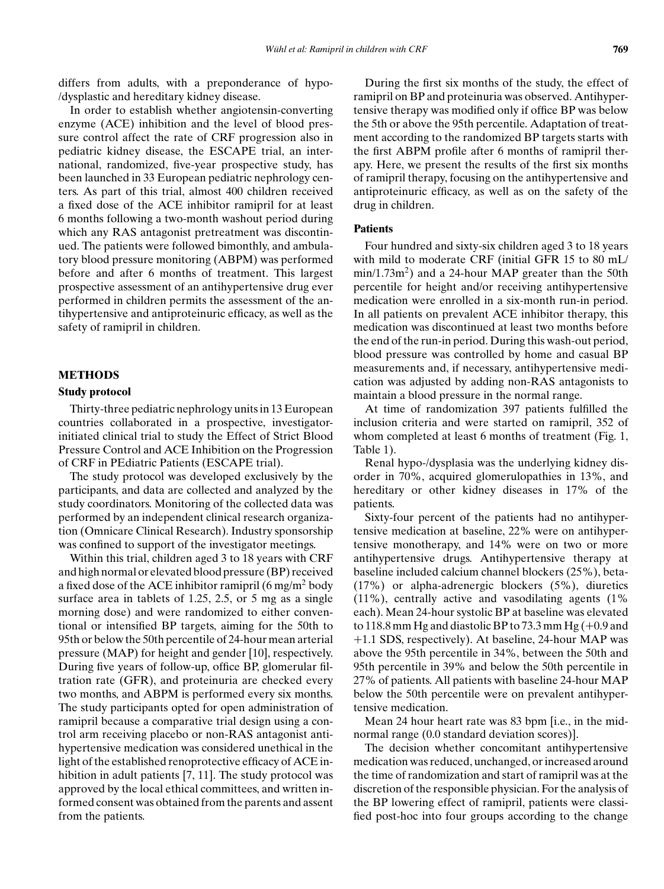differs from adults, with a preponderance of hypo- /dysplastic and hereditary kidney disease.

In order to establish whether angiotensin-converting enzyme (ACE) inhibition and the level of blood pressure control affect the rate of CRF progression also in pediatric kidney disease, the ESCAPE trial, an international, randomized, five-year prospective study, has been launched in 33 European pediatric nephrology centers. As part of this trial, almost 400 children received a fixed dose of the ACE inhibitor ramipril for at least 6 months following a two-month washout period during which any RAS antagonist pretreatment was discontinued. The patients were followed bimonthly, and ambulatory blood pressure monitoring (ABPM) was performed before and after 6 months of treatment. This largest prospective assessment of an antihypertensive drug ever performed in children permits the assessment of the antihypertensive and antiproteinuric efficacy, as well as the safety of ramipril in children.

### **METHODS**

#### **Study protocol**

Thirty-three pediatric nephrology units in 13 European countries collaborated in a prospective, investigatorinitiated clinical trial to study the Effect of Strict Blood Pressure Control and ACE Inhibition on the Progression of CRF in PEdiatric Patients (ESCAPE trial).

The study protocol was developed exclusively by the participants, and data are collected and analyzed by the study coordinators. Monitoring of the collected data was performed by an independent clinical research organization (Omnicare Clinical Research). Industry sponsorship was confined to support of the investigator meetings.

Within this trial, children aged 3 to 18 years with CRF and high normal or elevated blood pressure (BP) received a fixed dose of the ACE inhibitor ramipril  $(6 \text{ mg/m}^2 \text{ body})$ surface area in tablets of 1.25, 2.5, or 5 mg as a single morning dose) and were randomized to either conventional or intensified BP targets, aiming for the 50th to 95th or below the 50th percentile of 24-hour mean arterial pressure (MAP) for height and gender [10], respectively. During five years of follow-up, office BP, glomerular filtration rate (GFR), and proteinuria are checked every two months, and ABPM is performed every six months. The study participants opted for open administration of ramipril because a comparative trial design using a control arm receiving placebo or non-RAS antagonist antihypertensive medication was considered unethical in the light of the established renoprotective efficacy of ACE inhibition in adult patients [7, 11]. The study protocol was approved by the local ethical committees, and written informed consent was obtained from the parents and assent from the patients.

During the first six months of the study, the effect of ramipril on BP and proteinuria was observed. Antihypertensive therapy was modified only if office BP was below the 5th or above the 95th percentile. Adaptation of treatment according to the randomized BP targets starts with the first ABPM profile after 6 months of ramipril therapy. Here, we present the results of the first six months of ramipril therapy, focusing on the antihypertensive and antiproteinuric efficacy, as well as on the safety of the drug in children.

## **Patients**

Four hundred and sixty-six children aged 3 to 18 years with mild to moderate CRF (initial GFR 15 to 80 mL/ min/1.73m<sup>2</sup>) and a 24-hour MAP greater than the 50th percentile for height and/or receiving antihypertensive medication were enrolled in a six-month run-in period. In all patients on prevalent ACE inhibitor therapy, this medication was discontinued at least two months before the end of the run-in period. During this wash-out period, blood pressure was controlled by home and casual BP measurements and, if necessary, antihypertensive medication was adjusted by adding non-RAS antagonists to maintain a blood pressure in the normal range.

At time of randomization 397 patients fulfilled the inclusion criteria and were started on ramipril, 352 of whom completed at least 6 months of treatment (Fig. 1, Table 1).

Renal hypo-/dysplasia was the underlying kidney disorder in 70%, acquired glomerulopathies in 13%, and hereditary or other kidney diseases in 17% of the patients.

Sixty-four percent of the patients had no antihypertensive medication at baseline, 22% were on antihypertensive monotherapy, and 14% were on two or more antihypertensive drugs. Antihypertensive therapy at baseline included calcium channel blockers (25%), beta- (17%) or alpha-adrenergic blockers (5%), diuretics  $(11\%)$ , centrally active and vasodilating agents  $(1\%)$ each). Mean 24-hour systolic BP at baseline was elevated to 118.8 mm Hg and diastolic BP to 73.3 mm Hg  $(+0.9$  and +1.1 SDS, respectively). At baseline, 24-hour MAP was above the 95th percentile in 34%, between the 50th and 95th percentile in 39% and below the 50th percentile in 27% of patients. All patients with baseline 24-hour MAP below the 50th percentile were on prevalent antihypertensive medication.

Mean 24 hour heart rate was 83 bpm [i.e., in the midnormal range (0.0 standard deviation scores)].

The decision whether concomitant antihypertensive medication was reduced, unchanged, or increased around the time of randomization and start of ramipril was at the discretion of the responsible physician. For the analysis of the BP lowering effect of ramipril, patients were classified post-hoc into four groups according to the change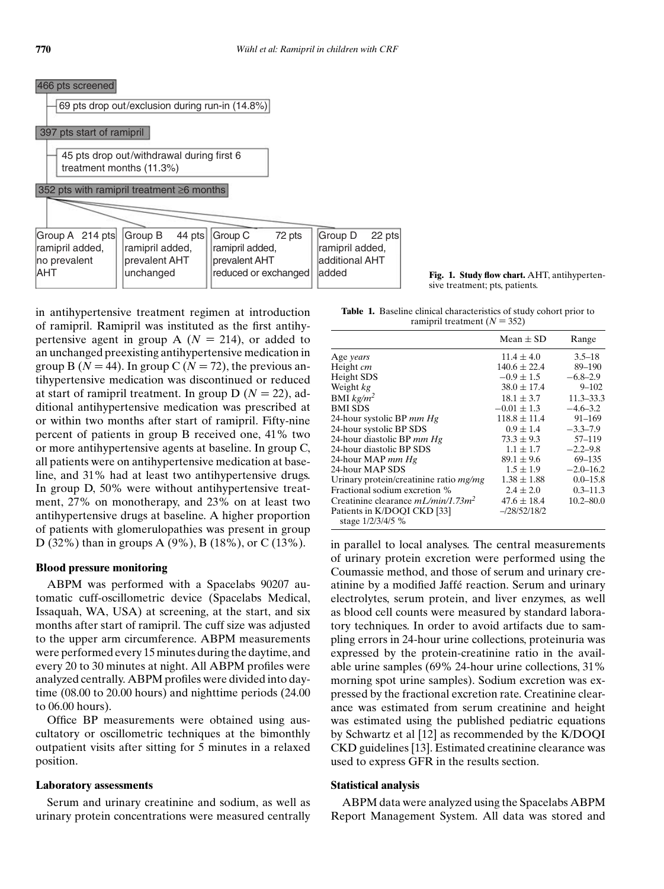

in antihypertensive treatment regimen at introduction of ramipril. Ramipril was instituted as the first antihypertensive agent in group A ( $N = 214$ ), or added to an unchanged preexisting antihypertensive medication in group B ( $N = 44$ ). In group C ( $N = 72$ ), the previous antihypertensive medication was discontinued or reduced at start of ramipril treatment. In group  $D (N = 22)$ , additional antihypertensive medication was prescribed at or within two months after start of ramipril. Fifty-nine percent of patients in group B received one, 41% two or more antihypertensive agents at baseline. In group C, all patients were on antihypertensive medication at baseline, and 31% had at least two antihypertensive drugs. In group D, 50% were without antihypertensive treatment, 27% on monotherapy, and 23% on at least two antihypertensive drugs at baseline. A higher proportion of patients with glomerulopathies was present in group D (32%) than in groups A (9%), B (18%), or C (13%).

#### **Blood pressure monitoring**

ABPM was performed with a Spacelabs 90207 automatic cuff-oscillometric device (Spacelabs Medical, Issaquah, WA, USA) at screening, at the start, and six months after start of ramipril. The cuff size was adjusted to the upper arm circumference. ABPM measurements were performed every 15 minutes during the daytime, and every 20 to 30 minutes at night. All ABPM profiles were analyzed centrally. ABPM profiles were divided into daytime (08.00 to 20.00 hours) and nighttime periods (24.00 to 06.00 hours).

Office BP measurements were obtained using auscultatory or oscillometric techniques at the bimonthly outpatient visits after sitting for 5 minutes in a relaxed position.

#### **Laboratory assessments**

Serum and urinary creatinine and sodium, as well as urinary protein concentrations were measured centrally

**Fig. 1. Study flow chart.** AHT, antihypertensive treatment; pts, patients.

**Table 1.** Baseline clinical characteristics of study cohort prior to ramipril treatment  $(N = 352)$ 

|                                                    | Mean $\pm$ SD    | Range         |
|----------------------------------------------------|------------------|---------------|
| Age years                                          | $11.4 \pm 4.0$   | $3.5 - 18$    |
| Height cm                                          | $140.6 \pm 22.4$ | 89-190        |
| Height SDS                                         | $-0.9 \pm 1.5$   | $-6.8 - 2.9$  |
| Weight kg                                          | $38.0 \pm 17.4$  | $9 - 102$     |
| BMI $kg/m^2$                                       | $18.1 \pm 3.7$   | $11.3 - 33.3$ |
| <b>BMI SDS</b>                                     | $-0.01 \pm 1.3$  | $-4.6 - 3.2$  |
| 24-hour systolic BP mm Hg                          | $118.8 \pm 11.4$ | $91 - 169$    |
| 24-hour systolic BP SDS                            | $0.9 \pm 1.4$    | $-3.3 - 7.9$  |
| 24-hour diastolic BP mm Hg                         | $73.3 \pm 9.3$   | $57 - 119$    |
| 24-hour diastolic BP SDS                           | $1.1 \pm 1.7$    | $-2.2 - 9.8$  |
| 24-hour MAP mm Hg                                  | $89.1 \pm 9.6$   | $69 - 135$    |
| 24-hour MAP SDS                                    | $1.5 \pm 1.9$    | $-2.0 - 16.2$ |
| Urinary protein/creatinine ratio mg/mg             | $1.38 \pm 1.88$  | $0.0 - 15.8$  |
| Fractional sodium excretion %                      | $2.4 \pm 2.0$    | $0.3 - 11.3$  |
| Creatinine clearance $mL/min/1.73m^2$              | $47.6 \pm 18.4$  | $10.2 - 80.0$ |
| Patients in K/DOQI CKD [33]<br>stage $1/2/3/4/5$ % | $-28/52/18/2$    |               |

in parallel to local analyses. The central measurements of urinary protein excretion were performed using the Coumassie method, and those of serum and urinary creatinine by a modified Jaffe reaction. Serum and urinary ´ electrolytes, serum protein, and liver enzymes, as well as blood cell counts were measured by standard laboratory techniques. In order to avoid artifacts due to sampling errors in 24-hour urine collections, proteinuria was expressed by the protein-creatinine ratio in the available urine samples (69% 24-hour urine collections, 31% morning spot urine samples). Sodium excretion was expressed by the fractional excretion rate. Creatinine clearance was estimated from serum creatinine and height was estimated using the published pediatric equations by Schwartz et al [12] as recommended by the K/DOQI CKD guidelines [13]. Estimated creatinine clearance was used to express GFR in the results section.

## **Statistical analysis**

ABPM data were analyzed using the Spacelabs ABPM Report Management System. All data was stored and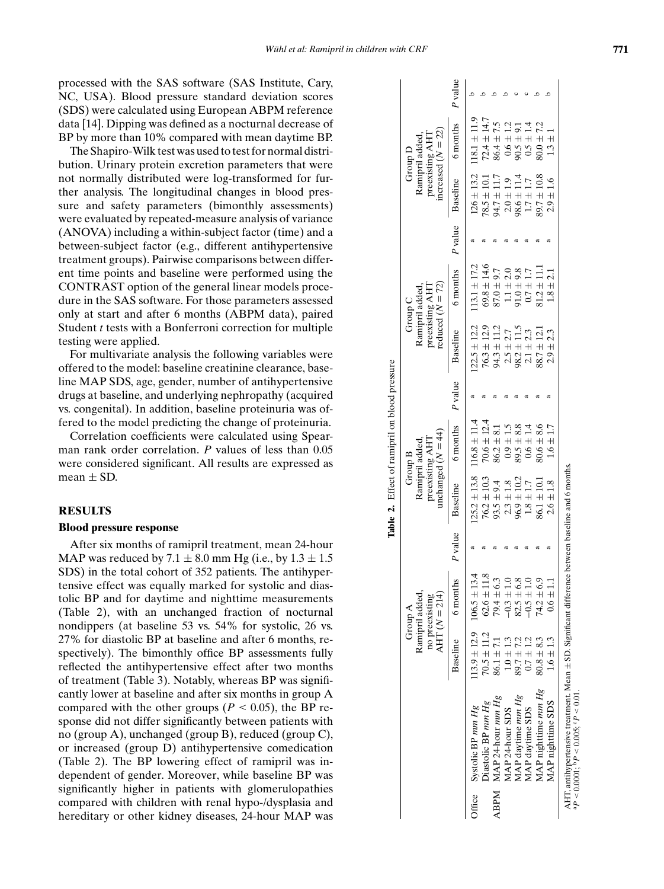processed with the SAS software (SAS Institute, Cary, NC, USA). Blood pressure standard deviation scores (SDS) were calculated using European ABPM reference data [14]. Dipping was defined as a nocturnal decrease of BP by more than 10% compared with mean daytime BP.

The Shapiro-Wilk test was used to test for normal distribution. Urinary protein excretion parameters that were not normally distributed were log-transformed for further analysis. The longitudinal changes in blood pressure and safety parameters (bimonthly assessments) were evaluated by repeated-measure analysis of variance (ANOVA) including a within-subject factor (time) and a between-subject factor (e.g., different antihypertensive treatment groups). Pairwise comparisons between different time points and baseline were performed using the CONTRAST option of the general linear models procedure in the SAS software. For those parameters assessed only at start and after 6 months (ABPM data), paired Student *t* tests with a Bonferroni correction for multiple testing were applied.

For multivariate analysis the following variables were offered to the model: baseline creatinine clearance, baseline MAP SDS, age, gender, number of antihypertensive drugs at baseline, and underlying nephropathy (acquired vs. congenital). In addition, baseline proteinuria was offered to the model predicting the change of proteinuria.

Correlation coefficients were calculated using Spearman rank order correlation. *P* values of less than 0.05 were considered significant. All results are expressed as mean  $\pm$  SD.

## **RESULTS**

#### **Blood pressure response**

After six months of ramipril treatment, mean 24-hour MAP was reduced by  $7.1 \pm 8.0$  mm Hg (i.e., by  $1.3 \pm 1.5$ ) SDS) in the total cohort of 352 patients. The antihypertensive effect was equally marked for systolic and diastolic BP and for daytime and nighttime measurements (Table 2), with an unchanged fraction of nocturnal nondippers (at baseline 53 vs. 54% for systolic, 26 vs. 27% for diastolic BP at baseline and after 6 months, respectively). The bimonthly office BP assessments fully reflected the antihypertensive effect after two months of treatment (Table 3). Notably, whereas BP was significantly lower at baseline and after six months in group A compared with the other groups ( $P < 0.05$ ), the BP response did not differ significantly between patients with no (group A), unchanged (group B), reduced (group C), or increased (group D) antihypertensive comedication (Table 2). The BP lowering effect of ramipril was independent of gender. Moreover, while baseline BP was significantly higher in patients with glomerulopathies compared with children with renal hypo-/dysplasia and hereditary or other kidney diseases, 24-hour MAP was

|                                                                                                                                                                   |                 |                                                                 |                    | Table 2. Effect of ramipril on blood pressure                              |                                                                       |         |                                                             |                                                                     |         |                 |                                                                      |         |
|-------------------------------------------------------------------------------------------------------------------------------------------------------------------|-----------------|-----------------------------------------------------------------|--------------------|----------------------------------------------------------------------------|-----------------------------------------------------------------------|---------|-------------------------------------------------------------|---------------------------------------------------------------------|---------|-----------------|----------------------------------------------------------------------|---------|
|                                                                                                                                                                   |                 | Ramipril added,<br>AHT $(N = 214)$<br>no preexisting<br>Group A |                    |                                                                            | unchanged $(N = 44)$<br>preexisting AHT<br>Ramipril added,<br>Group B |         |                                                             | preexisting AHT<br>reduced $(N = 72)$<br>Group C<br>Ramipril added, |         |                 | increased $(N = 22)$<br>preexisting AHT<br>Ramipril added<br>Group D |         |
|                                                                                                                                                                   | Baseline        | 6 months                                                        | P <sub>value</sub> | Baseline                                                                   | 6 months                                                              | P value | Baseline                                                    | 6 months                                                            | P value | Baseline        | 6 months                                                             | P value |
| Office Systolic BP $mm$ $Hg$                                                                                                                                      | $13.9 \pm 12.9$ | $106.5 \pm 13.4$                                                |                    | $25.2 \pm 13.8$                                                            | $116.8 \pm 11.4$                                                      |         | $12.5 \pm 12.2$                                             | $13.1 \pm 17.2$                                                     |         | $126 \pm 13.2$  | $118.1 \pm 11.9$                                                     |         |
| Diastolic BP mm Hg                                                                                                                                                | $70.5 \pm 11.2$ | $62.6 \pm 11.8$                                                 |                    | $76.2 \pm 10.3$                                                            | $70.6 \pm 12.4$                                                       |         | $76.3 \pm 12.9$                                             | $69.8 \pm 14.6$                                                     |         | $78.5 \pm 10.1$ | $72.4 \pm 14.7$                                                      |         |
| ABPM MAP 24-hour mm Hg                                                                                                                                            | $86.1 \pm 7.1$  | $79.4 \pm 6$                                                    |                    | $93.5 \pm 9.4$                                                             | $86.2 \pm 8.1$                                                        |         | $94.3 \pm 11.2$                                             | $87.0 \pm 9.7$                                                      |         | $94.7 \pm 11.7$ | $86.4 \pm 7.5$                                                       |         |
| MAP 24-hour SDS                                                                                                                                                   | $1.0 \pm 1.3$   | $-0.3 \pm 1$                                                    |                    |                                                                            | $0.9 \pm 1.5$                                                         |         | $2.5 \pm 2.7$                                               | $1.1 \pm 2.0$                                                       |         | $2.0 \pm 1.9$   | $0.6 \pm 1.2$                                                        |         |
| MAP daytime nun Hg                                                                                                                                                | $89.7 \pm 7.2$  | $82.5 \pm 6$                                                    |                    |                                                                            | $89.5 \pm 8.8$                                                        |         |                                                             | $91.0 \pm 9.8$                                                      |         | $98.6 \pm 11.4$ |                                                                      |         |
| MAP daytime SDS                                                                                                                                                   | $0.7 \pm 1.2$   | $-0.5 \pm 1$                                                    |                    | $\begin{array}{c} 2.3 \pm 1.8 \\ 96.9 \pm 10.2 \\ 1.8 \pm 1.7 \end{array}$ | $0.6 \pm 1.4$                                                         |         | $\begin{array}{c} 98.2 \pm 11.5 \\ 2.1 \pm 2.3 \end{array}$ | $0.7 \pm 1.7$                                                       |         | $1.7\pm1.7$     | $90.5 \pm 9.1$ $0.5 \pm 1.4$                                         |         |
| MAP nighttime mm Hg                                                                                                                                               | $80.8 \pm 8.3$  | $74.2 \pm 6$                                                    |                    | $36.1 \pm 10.1$                                                            | $80.6 \pm 8.6$                                                        |         | $8.7 \pm 12.1$                                              | $31.2 \pm 11.$                                                      |         | $8.01 \pm 7.8$  | $80.0 \pm 7.2$                                                       |         |
| MAP nighttime SDS                                                                                                                                                 | $1.6 \pm 1.3$   | $0.6 \pm 1$                                                     |                    | $2.6 \pm 1.8$                                                              | $1.6 \pm 1.7$                                                         |         | $2.9 \pm 2.3$                                               | $1.8 \pm 2.1$                                                       |         | $2.9 \pm 1.6$   | $1.3 \pm 1$                                                          |         |
| AHT, antihypertensive treatment. Mean $\pm$ SD. Significant difference between baseline and 6 months.<br>${}^{a}P$ < 0.0001; ${}^{b}P$ < 0.005; ${}^{c}P$ < 0.01. |                 |                                                                 |                    |                                                                            |                                                                       |         |                                                             |                                                                     |         |                 |                                                                      |         |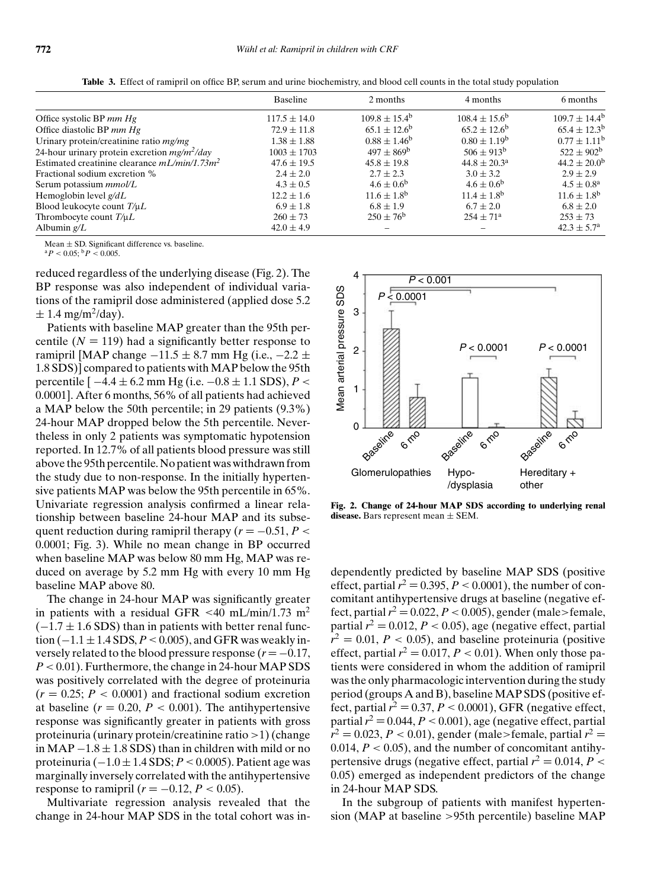**Table 3.** Effect of ramipril on office BP, serum and urine biochemistry, and blood cell counts in the total study population

|                                                 | Baseline         | 2 months                    | 4 months                 | 6 months                 |
|-------------------------------------------------|------------------|-----------------------------|--------------------------|--------------------------|
| Office systolic BP $mm$ Hg                      | $117.5 \pm 14.0$ | $109.8 \pm 15.4^{\rm b}$    | $108.4 \pm 15.6^{\rm b}$ | $109.7 \pm 14.4^{\rm b}$ |
| Office diastolic BP mm Hg                       | $72.9 \pm 11.8$  | $65.1 \pm 12.6^b$           | $65.2 \pm 12.6^{\rm b}$  | $65.4 \pm 12.3^{\rm b}$  |
| Urinary protein/creatinine ratio $mg/mg$        | $1.38 \pm 1.88$  | $0.88 \pm 1.46^b$           | $0.80 \pm 1.19^b$        | $0.77 \pm 1.11^b$        |
| 24-hour urinary protein excretion $mg/m^2/day$  | $1003 \pm 1703$  | $497 + 869^{\rm b}$         | $506 \pm 913^b$          | $522 \pm 902^{\rm b}$    |
| Estimated creatinine clearance $mL/min/1.73m^2$ | $47.6 \pm 19.5$  | $45.8 \pm 19.8$             | $44.8 \pm 20.3^{\circ}$  | $44.2 \pm 20.0^{\rm b}$  |
| Fractional sodium excretion %                   | $2.4 \pm 2.0$    | $2.7 \pm 2.3$               | $3.0 \pm 3.2$            | $2.9 + 2.9$              |
| Serum potassium mmol/L                          | $4.3 \pm 0.5$    | $4.6 \pm 0.6^{\rm b}$       | $4.6 \pm 0.6^{\rm b}$    | $4.5 \pm 0.8^{\rm a}$    |
| Hemoglobin level $g/dL$                         | $12.2 \pm 1.6$   | $11.6 \pm 1.8$ <sup>b</sup> | $11.4 \pm 1.8^{\rm b}$   | $11.6 \pm 1.8^{\rm b}$   |
| Blood leukocyte count $T/\mu L$                 | $6.9 \pm 1.8$    | $6.8 \pm 1.9$               | $6.7 \pm 2.0$            | $6.8 \pm 2.0$            |
| Thrombocyte count $T/L$                         | $260 \pm 73$     | $250 \pm 76^{\rm b}$        | $254 \pm 71^{\circ}$     | $253 \pm 73$             |
| Albumin $g/L$                                   | $42.0 \pm 4.9$   |                             |                          | $42.3 \pm 5.7^{\rm a}$   |

Mean  $\pm$  SD. Significant difference vs. baseline.<br><sup>a</sup> $P$  < 0.05; <sup>b</sup> $P$  < 0.005.

reduced regardless of the underlying disease (Fig. 2). The BP response was also independent of individual variations of the ramipril dose administered (applied dose 5.2  $\pm$  1.4 mg/m<sup>2</sup>/day).

Patients with baseline MAP greater than the 95th percentile  $(N = 119)$  had a significantly better response to ramipril [MAP change  $-11.5 \pm 8.7$  mm Hg (i.e.,  $-2.2 \pm$ 1.8 SDS)] compared to patients with MAP below the 95th percentile [ −4.4 ± 6.2 mm Hg (i.e. −0.8 ± 1.1 SDS), *P* < 0.0001]. After 6 months, 56% of all patients had achieved a MAP below the 50th percentile; in 29 patients (9.3%) 24-hour MAP dropped below the 5th percentile. Nevertheless in only 2 patients was symptomatic hypotension reported. In 12.7% of all patients blood pressure was still above the 95th percentile. No patient was withdrawn from the study due to non-response. In the initially hypertensive patients MAP was below the 95th percentile in 65%. Univariate regression analysis confirmed a linear relationship between baseline 24-hour MAP and its subsequent reduction during ramipril therapy ( $r = -0.51$ ,  $P <$ 0.0001; Fig. 3). While no mean change in BP occurred when baseline MAP was below 80 mm Hg, MAP was reduced on average by 5.2 mm Hg with every 10 mm Hg baseline MAP above 80.

The change in 24-hour MAP was significantly greater in patients with a residual GFR  $\leq 40$  mL/min/1.73 m<sup>2</sup>  $(-1.7 \pm 1.6$  SDS) than in patients with better renal function  $(-1.1 \pm 1.4 \text{ SDS}, P < 0.005)$ , and GFR was weakly inversely related to the blood pressure response  $(r = -0.17)$ , *P* < 0.01). Furthermore, the change in 24-hour MAP SDS was positively correlated with the degree of proteinuria  $(r = 0.25; P < 0.0001)$  and fractional sodium excretion at baseline  $(r = 0.20, P < 0.001)$ . The antihypertensive response was significantly greater in patients with gross proteinuria (urinary protein/creatinine ratio >1) (change in MAP  $-1.8 \pm 1.8$  SDS) than in children with mild or no proteinuria (−1.0 ± 1.4 SDS; *P* < 0.0005). Patient age was marginally inversely correlated with the antihypertensive response to ramipril  $(r = -0.12, P < 0.05)$ .

Multivariate regression analysis revealed that the change in 24-hour MAP SDS in the total cohort was in-



**Fig. 2. Change of 24-hour MAP SDS according to underlying renal disease.** Bars represent mean ± SEM.

dependently predicted by baseline MAP SDS (positive effect, partial  $r^2 = 0.395$ ,  $P < 0.0001$ ), the number of concomitant antihypertensive drugs at baseline (negative effect, partial  $r^2 = 0.022$ ,  $P < 0.005$ ), gender (male>female, partial  $r^2 = 0.012$ ,  $P < 0.05$ ), age (negative effect, partial  $r^2 = 0.01$ ,  $P < 0.05$ ), and baseline proteinuria (positive effect, partial  $r^2 = 0.017$ ,  $P < 0.01$ ). When only those patients were considered in whom the addition of ramipril was the only pharmacologic intervention during the study period (groups A and B), baseline MAP SDS (positive effect, partial  $r^2 = 0.37$ ,  $P < 0.0001$ ), GFR (negative effect, partial  $r^2 = 0.044$ ,  $P < 0.001$ ), age (negative effect, partial  $r^2 = 0.023$ ,  $P < 0.01$ ), gender (male>female, partial  $r^2 =$ 0.014,  $P < 0.05$ ), and the number of concomitant antihypertensive drugs (negative effect, partial  $r^2 = 0.014$ ,  $P <$ 0.05) emerged as independent predictors of the change in 24-hour MAP SDS.

In the subgroup of patients with manifest hypertension (MAP at baseline >95th percentile) baseline MAP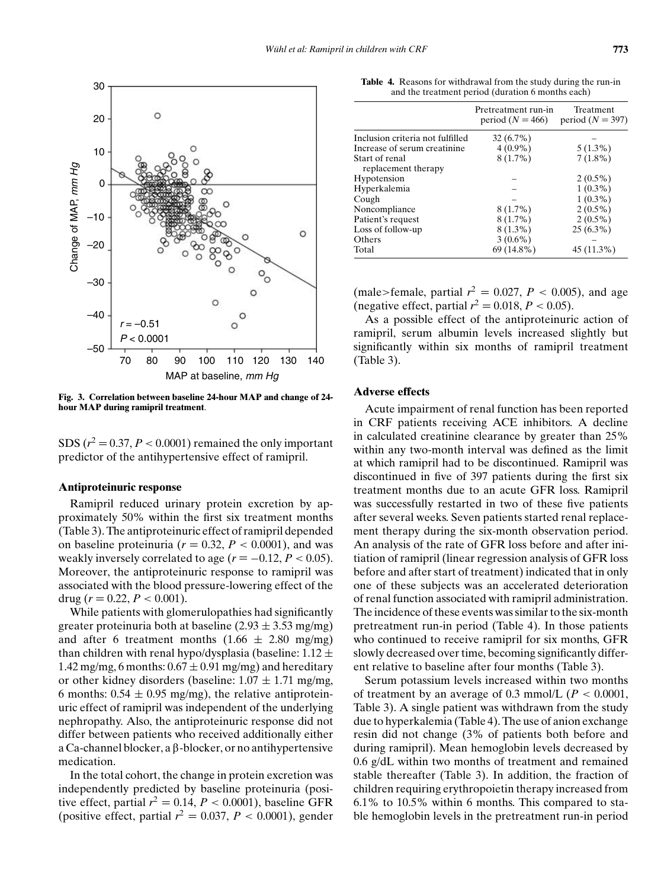

**Fig. 3. Correlation between baseline 24-hour MAP and change of 24 hour MAP during ramipril treatment**.

SDS  $(r^2 = 0.37, P < 0.0001)$  remained the only important predictor of the antihypertensive effect of ramipril.

## **Antiproteinuric response**

Ramipril reduced urinary protein excretion by approximately 50% within the first six treatment months (Table 3). The antiproteinuric effect of ramipril depended on baseline proteinuria ( $r = 0.32$ ,  $P < 0.0001$ ), and was weakly inversely correlated to age  $(r = -0.12, P < 0.05)$ . Moreover, the antiproteinuric response to ramipril was associated with the blood pressure-lowering effect of the drug ( $r = 0.22$ ,  $P < 0.001$ ).

While patients with glomerulopathies had significantly greater proteinuria both at baseline  $(2.93 \pm 3.53 \text{ mg/mg})$ and after 6 treatment months  $(1.66 \pm 2.80 \text{ mg/mg})$ than children with renal hypo/dysplasia (baseline:  $1.12 \pm$ 1.42 mg/mg, 6 months:  $0.67 \pm 0.91$  mg/mg) and hereditary or other kidney disorders (baseline:  $1.07 \pm 1.71$  mg/mg, 6 months:  $0.54 \pm 0.95$  mg/mg), the relative antiproteinuric effect of ramipril was independent of the underlying nephropathy. Also, the antiproteinuric response did not differ between patients who received additionally either a Ca-channel blocker, a  $\beta$ -blocker, or no antihypertensive medication.

In the total cohort, the change in protein excretion was independently predicted by baseline proteinuria (positive effect, partial  $r^2 = 0.14$ ,  $P < 0.0001$ ), baseline GFR (positive effect, partial  $r^2 = 0.037$ ,  $P < 0.0001$ ), gender

**Table 4.** Reasons for withdrawal from the study during the run-in and the treatment period (duration 6 months each)

|                                  | Pretreatment run-in<br>period $(N = 466)$ | Treatment<br>period $(N = 397)$ |
|----------------------------------|-------------------------------------------|---------------------------------|
| Inclusion criteria not fulfilled | $32(6.7\%)$                               |                                 |
| Increase of serum creatinine.    | $4(0.9\%)$                                | $5(1.3\%)$                      |
| Start of renal                   | $8(1.7\%)$                                | $7(1.8\%)$                      |
| replacement therapy              |                                           |                                 |
| Hypotension                      |                                           | $2(0.5\%)$                      |
| Hyperkalemia                     |                                           | $1(0.3\%)$                      |
| Cough                            |                                           | $1(0.3\%)$                      |
| Noncompliance                    | $8(1.7\%)$                                | $2(0.5\%)$                      |
| Patient's request                | $8(1.7\%)$                                | $2(0.5\%)$                      |
| Loss of follow-up                | $8(1.3\%)$                                | $25(6.3\%)$                     |
| Others                           | $3(0.6\%)$                                |                                 |
| Total                            | 69 (14.8%)                                | 45 (11.3%)                      |

(male>female, partial  $r^2 = 0.027$ ,  $P < 0.005$ ), and age (negative effect, partial  $r^2 = 0.018$ ,  $P < 0.05$ ).

As a possible effect of the antiproteinuric action of ramipril, serum albumin levels increased slightly but significantly within six months of ramipril treatment (Table 3).

## **Adverse effects**

Acute impairment of renal function has been reported in CRF patients receiving ACE inhibitors. A decline in calculated creatinine clearance by greater than 25% within any two-month interval was defined as the limit at which ramipril had to be discontinued. Ramipril was discontinued in five of 397 patients during the first six treatment months due to an acute GFR loss. Ramipril was successfully restarted in two of these five patients after several weeks. Seven patients started renal replacement therapy during the six-month observation period. An analysis of the rate of GFR loss before and after initiation of ramipril (linear regression analysis of GFR loss before and after start of treatment) indicated that in only one of these subjects was an accelerated deterioration of renal function associated with ramipril administration. The incidence of these events was similar to the six-month pretreatment run-in period (Table 4). In those patients who continued to receive ramipril for six months, GFR slowly decreased over time, becoming significantly different relative to baseline after four months (Table 3).

Serum potassium levels increased within two months of treatment by an average of 0.3 mmol/L ( $P < 0.0001$ , Table 3). A single patient was withdrawn from the study due to hyperkalemia (Table 4). The use of anion exchange resin did not change (3% of patients both before and during ramipril). Mean hemoglobin levels decreased by 0.6 g/dL within two months of treatment and remained stable thereafter (Table 3). In addition, the fraction of children requiring erythropoietin therapy increased from 6.1% to 10.5% within 6 months. This compared to stable hemoglobin levels in the pretreatment run-in period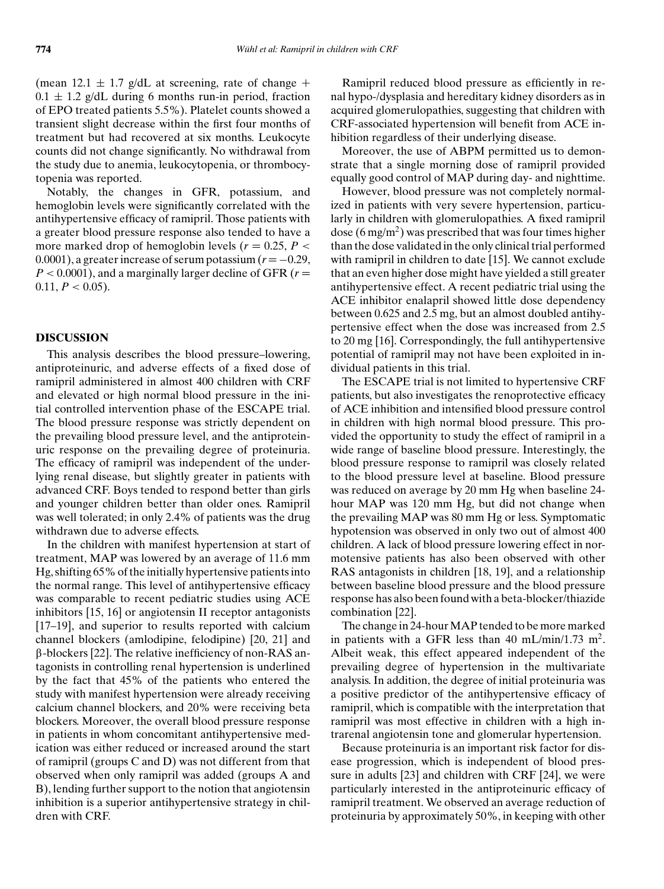(mean 12.1  $\pm$  1.7 g/dL at screening, rate of change +  $0.1 \pm 1.2$  g/dL during 6 months run-in period, fraction of EPO treated patients 5.5%). Platelet counts showed a transient slight decrease within the first four months of treatment but had recovered at six months. Leukocyte counts did not change significantly. No withdrawal from the study due to anemia, leukocytopenia, or thrombocytopenia was reported.

Notably, the changes in GFR, potassium, and hemoglobin levels were significantly correlated with the antihypertensive efficacy of ramipril. Those patients with a greater blood pressure response also tended to have a more marked drop of hemoglobin levels ( $r = 0.25$ ,  $P <$ 0.0001), a greater increase of serum potassium  $(r = -0.29,$  $P < 0.0001$ ), and a marginally larger decline of GFR ( $r =$  $0.11, P < 0.05$ ).

### **DISCUSSION**

This analysis describes the blood pressure–lowering, antiproteinuric, and adverse effects of a fixed dose of ramipril administered in almost 400 children with CRF and elevated or high normal blood pressure in the initial controlled intervention phase of the ESCAPE trial. The blood pressure response was strictly dependent on the prevailing blood pressure level, and the antiproteinuric response on the prevailing degree of proteinuria. The efficacy of ramipril was independent of the underlying renal disease, but slightly greater in patients with advanced CRF. Boys tended to respond better than girls and younger children better than older ones. Ramipril was well tolerated; in only 2.4% of patients was the drug withdrawn due to adverse effects.

In the children with manifest hypertension at start of treatment, MAP was lowered by an average of 11.6 mm Hg, shifting 65% of the initially hypertensive patients into the normal range. This level of antihypertensive efficacy was comparable to recent pediatric studies using ACE inhibitors [15, 16] or angiotensin II receptor antagonists [17–19], and superior to results reported with calcium channel blockers (amlodipine, felodipine) [20, 21] and  $\beta$ -blockers [22]. The relative inefficiency of non-RAS antagonists in controlling renal hypertension is underlined by the fact that 45% of the patients who entered the study with manifest hypertension were already receiving calcium channel blockers, and 20% were receiving beta blockers. Moreover, the overall blood pressure response in patients in whom concomitant antihypertensive medication was either reduced or increased around the start of ramipril (groups C and D) was not different from that observed when only ramipril was added (groups A and B), lending further support to the notion that angiotensin inhibition is a superior antihypertensive strategy in children with CRF.

Ramipril reduced blood pressure as efficiently in renal hypo-/dysplasia and hereditary kidney disorders as in acquired glomerulopathies, suggesting that children with CRF-associated hypertension will benefit from ACE inhibition regardless of their underlying disease.

Moreover, the use of ABPM permitted us to demonstrate that a single morning dose of ramipril provided equally good control of MAP during day- and nighttime.

However, blood pressure was not completely normalized in patients with very severe hypertension, particularly in children with glomerulopathies. A fixed ramipril dose  $(6 \text{ mg/m}^2)$  was prescribed that was four times higher than the dose validated in the only clinical trial performed with ramipril in children to date [15]. We cannot exclude that an even higher dose might have yielded a still greater antihypertensive effect. A recent pediatric trial using the ACE inhibitor enalapril showed little dose dependency between 0.625 and 2.5 mg, but an almost doubled antihypertensive effect when the dose was increased from 2.5 to 20 mg [16]. Correspondingly, the full antihypertensive potential of ramipril may not have been exploited in individual patients in this trial.

The ESCAPE trial is not limited to hypertensive CRF patients, but also investigates the renoprotective efficacy of ACE inhibition and intensified blood pressure control in children with high normal blood pressure. This provided the opportunity to study the effect of ramipril in a wide range of baseline blood pressure. Interestingly, the blood pressure response to ramipril was closely related to the blood pressure level at baseline. Blood pressure was reduced on average by 20 mm Hg when baseline 24 hour MAP was 120 mm Hg, but did not change when the prevailing MAP was 80 mm Hg or less. Symptomatic hypotension was observed in only two out of almost 400 children. A lack of blood pressure lowering effect in normotensive patients has also been observed with other RAS antagonists in children [18, 19], and a relationship between baseline blood pressure and the blood pressure response has also been found with a beta-blocker/thiazide combination [22].

The change in 24-hour MAP tended to be more marked in patients with a GFR less than 40 mL/min/1.73 m<sup>2</sup>. Albeit weak, this effect appeared independent of the prevailing degree of hypertension in the multivariate analysis. In addition, the degree of initial proteinuria was a positive predictor of the antihypertensive efficacy of ramipril, which is compatible with the interpretation that ramipril was most effective in children with a high intrarenal angiotensin tone and glomerular hypertension.

Because proteinuria is an important risk factor for disease progression, which is independent of blood pressure in adults [23] and children with CRF [24], we were particularly interested in the antiproteinuric efficacy of ramipril treatment. We observed an average reduction of proteinuria by approximately 50%, in keeping with other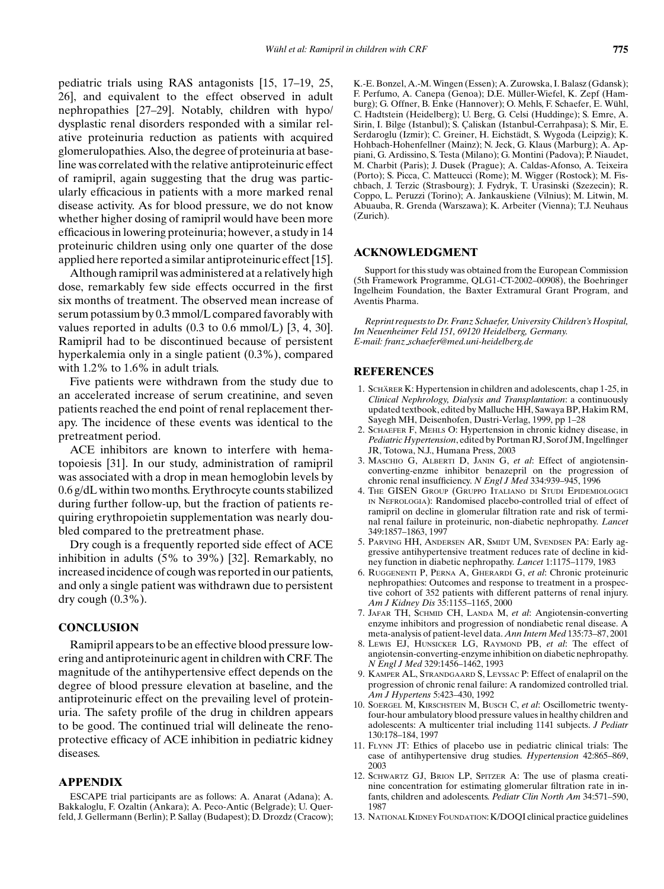pediatric trials using RAS antagonists [15, 17–19, 25, 26], and equivalent to the effect observed in adult nephropathies [27–29]. Notably, children with hypo/ dysplastic renal disorders responded with a similar relative proteinuria reduction as patients with acquired glomerulopathies. Also, the degree of proteinuria at baseline was correlated with the relative antiproteinuric effect of ramipril, again suggesting that the drug was particularly efficacious in patients with a more marked renal disease activity. As for blood pressure, we do not know whether higher dosing of ramipril would have been more efficacious in lowering proteinuria; however, a study in 14 proteinuric children using only one quarter of the dose applied here reported a similar antiproteinuric effect [15].

Although ramipril was administered at a relatively high dose, remarkably few side effects occurred in the first six months of treatment. The observed mean increase of serum potassium by 0.3 mmol/L compared favorably with values reported in adults (0.3 to 0.6 mmol/L) [3, 4, 30]. Ramipril had to be discontinued because of persistent hyperkalemia only in a single patient (0.3%), compared with 1.2% to 1.6% in adult trials.

Five patients were withdrawn from the study due to an accelerated increase of serum creatinine, and seven patients reached the end point of renal replacement therapy. The incidence of these events was identical to the pretreatment period.

ACE inhibitors are known to interfere with hematopoiesis [31]. In our study, administration of ramipril was associated with a drop in mean hemoglobin levels by 0.6 g/dL within two months. Erythrocyte counts stabilized during further follow-up, but the fraction of patients requiring erythropoietin supplementation was nearly doubled compared to the pretreatment phase.

Dry cough is a frequently reported side effect of ACE inhibition in adults (5% to 39%) [32]. Remarkably, no increased incidence of cough was reported in our patients, and only a single patient was withdrawn due to persistent dry cough  $(0.3\%)$ .

## **CONCLUSION**

Ramipril appears to be an effective blood pressure lowering and antiproteinuric agent in children with CRF. The magnitude of the antihypertensive effect depends on the degree of blood pressure elevation at baseline, and the antiproteinuric effect on the prevailing level of proteinuria. The safety profile of the drug in children appears to be good. The continued trial will delineate the renoprotective efficacy of ACE inhibition in pediatric kidney diseases.

## **APPENDIX**

ESCAPE trial participants are as follows: A. Anarat (Adana); A. Bakkaloglu, F. Ozaltin (Ankara); A. Peco-Antic (Belgrade); U. Querfeld, J. Gellermann (Berlin); P. Sallay (Budapest); D. Drozdz (Cracow); K.-E. Bonzel, A.-M. Wingen (Essen); A. Zurowska, I. Balasz (Gdansk); F. Perfumo, A. Canepa (Genoa); D.E. Müller-Wiefel, K. Zepf (Hamburg); G. Offner, B. Enke (Hannover); O. Mehls, F. Schaefer, E. Wühl, C. Hadtstein (Heidelberg); U. Berg, G. Celsi (Huddinge); S. Emre, A. Sirin, I. Bilge (Istanbul); S. Çaliskan (Istanbul-Cerrahpasa); S. Mir, E. Serdaroglu (Izmir); C. Greiner, H. Eichstadt, S. Wygoda (Leipzig); K. ¨ Hohbach-Hohenfellner (Mainz); N. Jeck, G. Klaus (Marburg); A. Appiani, G. Ardissino, S. Testa (Milano); G. Montini (Padova); P. Niaudet, M. Charbit (Paris); J. Dusek (Prague); A. Caldas-Afonso, A. Teixeira (Porto); S. Picca, C. Matteucci (Rome); M. Wigger (Rostock); M. Fischbach, J. Terzic (Strasbourg); J. Fydryk, T. Urasinski (Szezecin); R. Coppo, L. Peruzzi (Torino); A. Jankauskiene (Vilnius); M. Litwin, M. Abuauba, R. Grenda (Warszawa); K. Arbeiter (Vienna); T.J. Neuhaus (Zurich).

#### **ACKNOWLEDGMENT**

Support for this study was obtained from the European Commission (5th Framework Programme, QLG1-CT-2002–00908), the Boehringer Ingelheim Foundation, the Baxter Extramural Grant Program, and Aventis Pharma.

*Reprint requests to Dr. Franz Schaefer, University Children's Hospital, Im Neuenheimer Feld 151, 69120 Heidelberg, Germany. E-mail: franz schaefer@med.uni-heidelberg.de*

#### **REFERENCES**

- 1. SCHÄRER K: Hypertension in children and adolescents, chap 1-25, in *Clinical Nephrology, Dialysis and Transplantation*: a continuously updated textbook, edited by Malluche HH, Sawaya BP, Hakim RM, Sayegh MH, Deisenhofen, Dustri-Verlag, 1999, pp 1–28
- 2. SCHAEFER F, MEHLS O: Hypertension in chronic kidney disease, in *Pediatric Hypertension*, edited by Portman RJ, Sorof JM, Ingelfinger JR, Totowa, N.J., Humana Press, 2003
- 3. MASCHIO G, ALBERTI D, JANIN G, *et al*: Effect of angiotensinconverting-enzme inhibitor benazepril on the progression of chronic renal insufficiency. *N Engl J Med* 334:939–945, 1996
- 4. THE GISEN GROUP (GRUPPO ITALIANO DI STUDI EPIDEMIOLOGICI IN NEFROLOGIA): Randomised placebo-controlled trial of effect of ramipril on decline in glomerular filtration rate and risk of terminal renal failure in proteinuric, non-diabetic nephropathy. *Lancet* 349:1857–1863, 1997
- 5. PARVING HH, ANDERSEN AR, SMIDT UM, SVENDSEN PA: Early aggressive antihypertensive treatment reduces rate of decline in kidney function in diabetic nephropathy. *Lancet* 1:1175–1179, 1983
- 6. RUGGENENTI P, PERNA A, GHERARDI G, *et al*: Chronic proteinuric nephropathies: Outcomes and response to treatment in a prospective cohort of 352 patients with different patterns of renal injury. *Am J Kidney Dis* 35:1155–1165, 2000
- 7. JAFAR TH, SCHMID CH, LANDA M, *et al*: Angiotensin-converting enzyme inhibitors and progression of nondiabetic renal disease. A meta-analysis of patient-level data. *Ann Intern Med* 135:73–87, 2001
- 8. LEWIS EJ, HUNSICKER LG, RAYMOND PB, *et al*: The effect of angiotensin-converting-enzyme inhibition on diabetic nephropathy. *N Engl J Med* 329:1456–1462, 1993
- 9. KAMPER AL, STRANDGAARD S, LEYSSAC P: Effect of enalapril on the progression of chronic renal failure: A randomized controlled trial. *Am J Hypertens* 5:423–430, 1992
- 10. SOERGEL M, KIRSCHSTEIN M, BUSCH C, *et al*: Oscillometric twentyfour-hour ambulatory blood pressure values in healthy children and adolescents: A multicenter trial including 1141 subjects. *J Pediatr* 130:178–184, 1997
- 11. FLYNN JT: Ethics of placebo use in pediatric clinical trials: The case of antihypertensive drug studies. *Hypertension* 42:865–869, 2003
- 12. SCHWARTZ GJ, BRION LP, SPITZER A: The use of plasma creatinine concentration for estimating glomerular filtration rate in infants, children and adolescents. *Pediatr Clin North Am* 34:571–590, 1987
- 13. NATIONALKIDNEY FOUNDATION: K/DOQI clinical practice guidelines